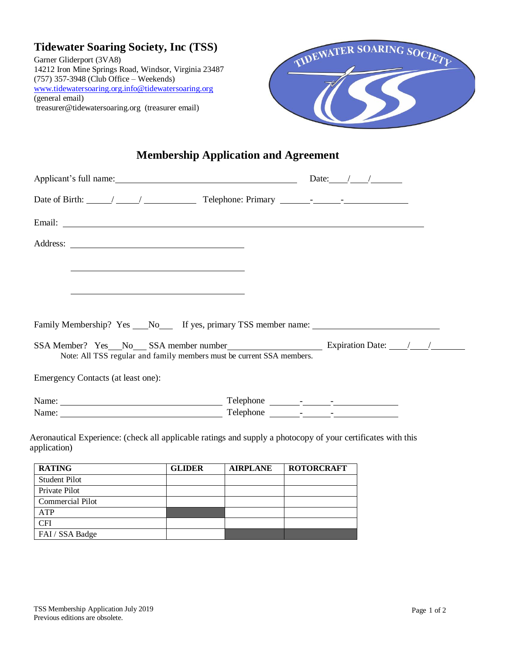| <b>Tidewater Soaring Society, Inc (TSS)</b>           |
|-------------------------------------------------------|
| Garner Gliderport (3VA8)                              |
| 14212 Iron Mine Springs Road, Windsor, Virginia 23487 |
| (757) 357-3948 (Club Office – Weekends)               |
| www.tidewatersoaring.org.info@tidewatersoaring.org    |
| (general email)                                       |
| treasurer@tidewatersoaring.org (treasurer email)      |



## **Membership Application and Agreement**

| Date of Birth: $\angle$ / $\angle$ Telephone: Primary $\angle$ - $\angle$                                                                                                                                                     |  |  |
|-------------------------------------------------------------------------------------------------------------------------------------------------------------------------------------------------------------------------------|--|--|
|                                                                                                                                                                                                                               |  |  |
|                                                                                                                                                                                                                               |  |  |
|                                                                                                                                                                                                                               |  |  |
|                                                                                                                                                                                                                               |  |  |
|                                                                                                                                                                                                                               |  |  |
| Family Membership? Yes ___No______If yes, primary TSS member name: _________________________________                                                                                                                          |  |  |
| SSA Member? Yes No SSA member number SSA member Number Expiration Date: 1<br>Note: All TSS regular and family members must be current SSA members.                                                                            |  |  |
| Emergency Contacts (at least one):                                                                                                                                                                                            |  |  |
|                                                                                                                                                                                                                               |  |  |
| Name: Name: Name: Name: Name: Name: Name: Name: Name: Name: Name: Name: Name: Name: Name: Name: Name: Name: Name: Name: Name: Name: Name: Name: Name: Name: Name: Name: Name: Name: Name: Name: Name: Name: Name: Name: Name: |  |  |
| Aeronautical Experience: (check all applicable ratings and supply a photocopy of your certificates with this<br>application)                                                                                                  |  |  |

| <b>RATING</b>           | <b>GLIDER</b> | <b>AIRPLANE</b> | <b>ROTORCRAFT</b> |
|-------------------------|---------------|-----------------|-------------------|
| <b>Student Pilot</b>    |               |                 |                   |
| Private Pilot           |               |                 |                   |
| <b>Commercial Pilot</b> |               |                 |                   |
| <b>ATP</b>              |               |                 |                   |
| <b>CFI</b>              |               |                 |                   |
| FAI / SSA Badge         |               |                 |                   |